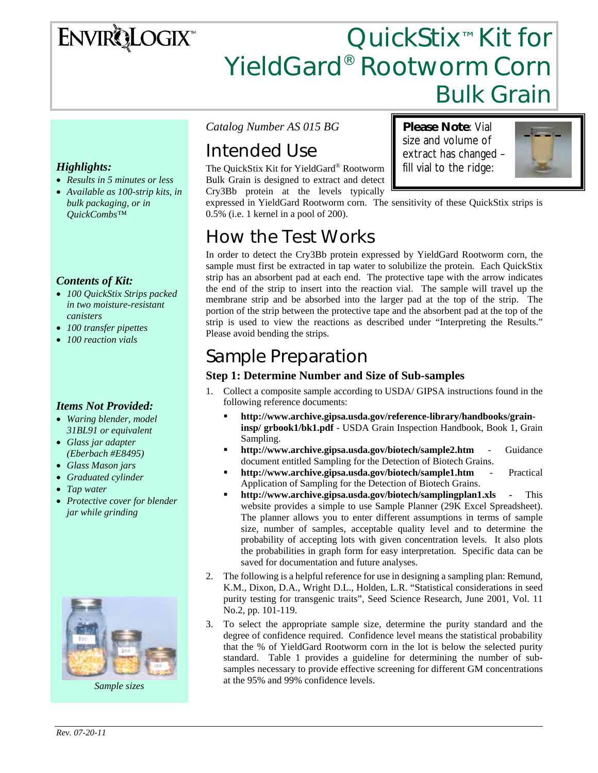# **ENVIRQLOGIX**

# QuickStix<sup>™</sup> Kit for YieldGard® Rootworm Corn Bulk Grain

**Please Note**: Vial size and volume of extract has changed – fill vial to the ridge:

#### *Highlights:*

- *Results in 5 minutes or less*
- *Available as 100-strip kits, in bulk packaging, or in QuickCombs™*

#### *Contents of Kit:*

- *100 QuickStix Strips packed in two moisture-resistant canisters*
- *100 transfer pipettes*
- *100 reaction vials*

#### *Items Not Provided:*

- *Waring blender, model 31BL91 or equivalent*
- *Glass jar adapter (Eberbach #E8495)*
- *Glass Mason jars*
- *Graduated cylinder*
- *Tap water*
- *Protective cover for blender jar while grinding*



*Sample sizes* 

*Catalog Number AS 015 BG* 

# Intended Use

The QuickStix Kit for YieldGard® Rootworm Bulk Grain is designed to extract and detect Cry3Bb protein at the levels typically

expressed in YieldGard Rootworm corn. The sensitivity of these QuickStix strips is 0.5% (i.e. 1 kernel in a pool of 200).

## How the Test Works

In order to detect the Cry3Bb protein expressed by YieldGard Rootworm corn, the sample must first be extracted in tap water to solubilize the protein. Each QuickStix strip has an absorbent pad at each end. The protective tape with the arrow indicates the end of the strip to insert into the reaction vial. The sample will travel up the membrane strip and be absorbed into the larger pad at the top of the strip. The portion of the strip between the protective tape and the absorbent pad at the top of the strip is used to view the reactions as described under "Interpreting the Results." Please avoid bending the strips.

### Sample Preparation

#### **Step 1: Determine Number and Size of Sub-samples**

- 1. Collect a composite sample according to USDA/ GIPSA instructions found in the following reference documents:
	- **http://www.archive.gipsa.usda.gov/reference-library/handbooks/graininsp/ grbook1/bk1.pdf** - USDA Grain Inspection Handbook, Book 1, Grain Sampling.
	- **http://www.archive.gipsa.usda.gov/biotech/sample2.htm** Guidance document entitled Sampling for the Detection of Biotech Grains.
	- **http://www.archive.gipsa.usda.gov/biotech/sample1.htm** Practical Application of Sampling for the Detection of Biotech Grains.
	- **http://www.archive.gipsa.usda.gov/biotech/samplingplan1.xls** This website provides a simple to use Sample Planner (29K Excel Spreadsheet). The planner allows you to enter different assumptions in terms of sample size, number of samples, acceptable quality level and to determine the probability of accepting lots with given concentration levels. It also plots the probabilities in graph form for easy interpretation. Specific data can be saved for documentation and future analyses.
- 2. The following is a helpful reference for use in designing a sampling plan: Remund, K.M., Dixon, D.A., Wright D.L., Holden, L.R. "Statistical considerations in seed purity testing for transgenic traits", Seed Science Research, June 2001, Vol. 11 No.2, pp. 101-119.
- 3. To select the appropriate sample size, determine the purity standard and the degree of confidence required. Confidence level means the statistical probability that the % of YieldGard Rootworm corn in the lot is below the selected purity standard. Table 1 provides a guideline for determining the number of subsamples necessary to provide effective screening for different GM concentrations at the 95% and 99% confidence levels.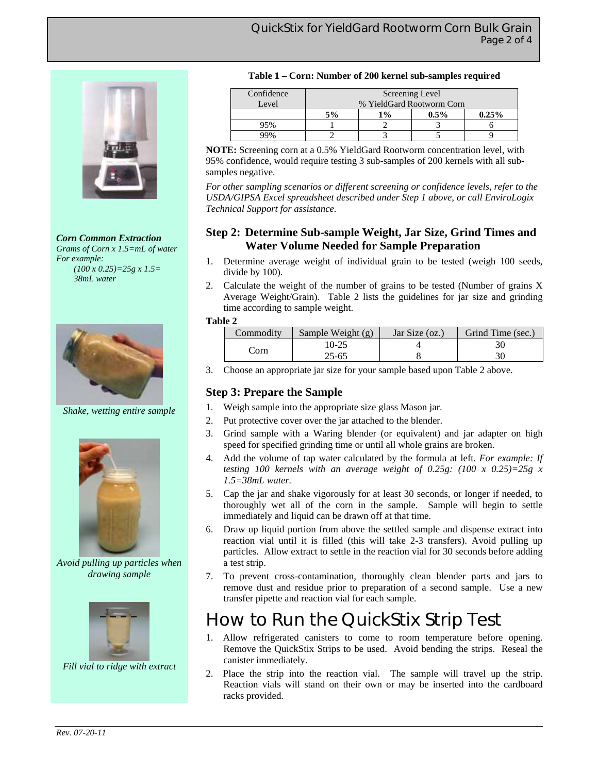

*Corn Common Extraction Grams of Corn x 1.5=mL of water For example: (100 x 0.25)=25g x 1.5= 38mL water* 



*Shake, wetting entire sample* 



*Avoid pulling up particles when drawing sample* 



*Fill vial to ridge with extract* 

#### **Table 1 – Corn: Number of 200 kernel sub-samples required**

| Confidence | Screening Level           |       |         |       |  |
|------------|---------------------------|-------|---------|-------|--|
| Level      | % YieldGard Rootworm Corn |       |         |       |  |
|            | 5%                        | $1\%$ | $0.5\%$ | 0.25% |  |
| 95%        |                           |       |         |       |  |
|            |                           |       |         |       |  |

**NOTE:** Screening corn at a 0.5% YieldGard Rootworm concentration level, with 95% confidence, would require testing 3 sub-samples of 200 kernels with all subsamples negative*.* 

*For other sampling scenarios or different screening or confidence levels, refer to the USDA/GIPSA Excel spreadsheet described under Step 1 above, or call EnviroLogix Technical Support for assistance.*

#### **Step 2: Determine Sub-sample Weight, Jar Size, Grind Times and Water Volume Needed for Sample Preparation**

- 1. Determine average weight of individual grain to be tested (weigh 100 seeds, divide by 100).
- 2. Calculate the weight of the number of grains to be tested (Number of grains X Average Weight/Grain). Table 2 lists the guidelines for jar size and grinding time according to sample weight.

#### **Table 2**

| Commodity | Sample Weight (g) | Jar Size (oz.) | Grind Time (sec.) |
|-----------|-------------------|----------------|-------------------|
| Corn      | 10-25             |                |                   |
|           | 25-65             |                |                   |

3. Choose an appropriate jar size for your sample based upon Table 2 above.

#### **Step 3: Prepare the Sample**

- 1. Weigh sample into the appropriate size glass Mason jar.
- 2. Put protective cover over the jar attached to the blender.
- 3. Grind sample with a Waring blender (or equivalent) and jar adapter on high speed for specified grinding time or until all whole grains are broken.
- 4. Add the volume of tap water calculated by the formula at left. *For example: If testing 100 kernels with an average weight of 0.25g: (100 x 0.25)=25g x 1.5=38mL water.*
- 5. Cap the jar and shake vigorously for at least 30 seconds, or longer if needed, to thoroughly wet all of the corn in the sample. Sample will begin to settle immediately and liquid can be drawn off at that time.
- 6. Draw up liquid portion from above the settled sample and dispense extract into reaction vial until it is filled (this will take 2-3 transfers). Avoid pulling up particles. Allow extract to settle in the reaction vial for 30 seconds before adding a test strip.
- 7. To prevent cross-contamination, thoroughly clean blender parts and jars to remove dust and residue prior to preparation of a second sample. Use a new transfer pipette and reaction vial for each sample.

### How to Run the QuickStix Strip Test

- 1. Allow refrigerated canisters to come to room temperature before opening. Remove the QuickStix Strips to be used. Avoid bending the strips. Reseal the canister immediately.
- 2. Place the strip into the reaction vial. The sample will travel up the strip. Reaction vials will stand on their own or may be inserted into the cardboard racks provided.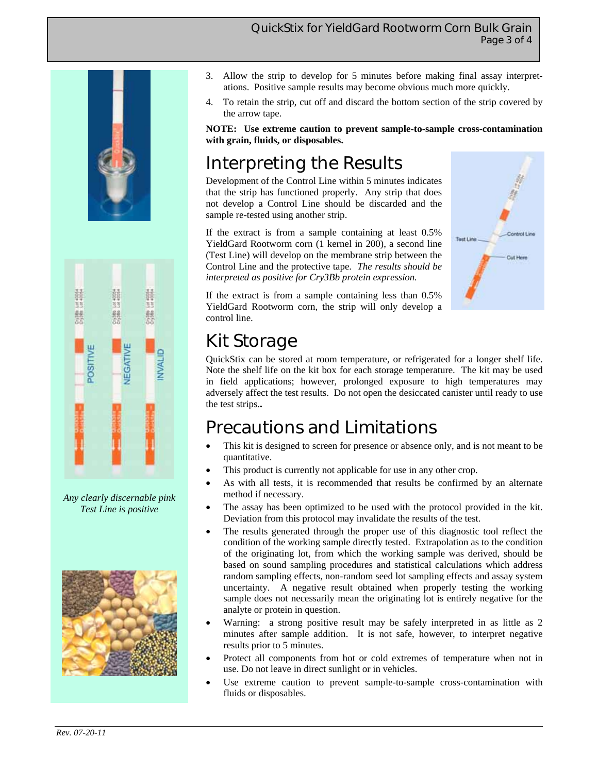#### QuickStix for YieldGard Rootworm Corn Bulk Grain Page 3 of 4





*Any clearly discernable pink Test Line is positive* 



- 3. Allow the strip to develop for 5 minutes before making final assay interpretations. Positive sample results may become obvious much more quickly.
- 4. To retain the strip, cut off and discard the bottom section of the strip covered by the arrow tape.

**NOTE: Use extreme caution to prevent sample-to-sample cross-contamination with grain, fluids, or disposables.** 

# Interpreting the Results

Development of the Control Line within 5 minutes indicates that the strip has functioned properly. Any strip that does not develop a Control Line should be discarded and the sample re-tested using another strip.

If the extract is from a sample containing at least 0.5% YieldGard Rootworm corn (1 kernel in 200), a second line (Test Line) will develop on the membrane strip between the Control Line and the protective tape. *The results should be interpreted as positive for Cry3Bb protein expression.* 



If the extract is from a sample containing less than 0.5% YieldGard Rootworm corn, the strip will only develop a control line.

## Kit Storage

QuickStix can be stored at room temperature, or refrigerated for a longer shelf life. Note the shelf life on the kit box for each storage temperature. The kit may be used in field applications; however, prolonged exposure to high temperatures may adversely affect the test results. Do not open the desiccated canister until ready to use the test strips.**.** 

### Precautions and Limitations

- This kit is designed to screen for presence or absence only, and is not meant to be quantitative.
- This product is currently not applicable for use in any other crop.
- As with all tests, it is recommended that results be confirmed by an alternate method if necessary.
- The assay has been optimized to be used with the protocol provided in the kit. Deviation from this protocol may invalidate the results of the test.
- The results generated through the proper use of this diagnostic tool reflect the condition of the working sample directly tested. Extrapolation as to the condition of the originating lot, from which the working sample was derived, should be based on sound sampling procedures and statistical calculations which address random sampling effects, non-random seed lot sampling effects and assay system uncertainty. A negative result obtained when properly testing the working sample does not necessarily mean the originating lot is entirely negative for the analyte or protein in question.
- Warning: a strong positive result may be safely interpreted in as little as 2 minutes after sample addition. It is not safe, however, to interpret negative results prior to 5 minutes.
- Protect all components from hot or cold extremes of temperature when not in use. Do not leave in direct sunlight or in vehicles.
- Use extreme caution to prevent sample-to-sample cross-contamination with fluids or disposables.